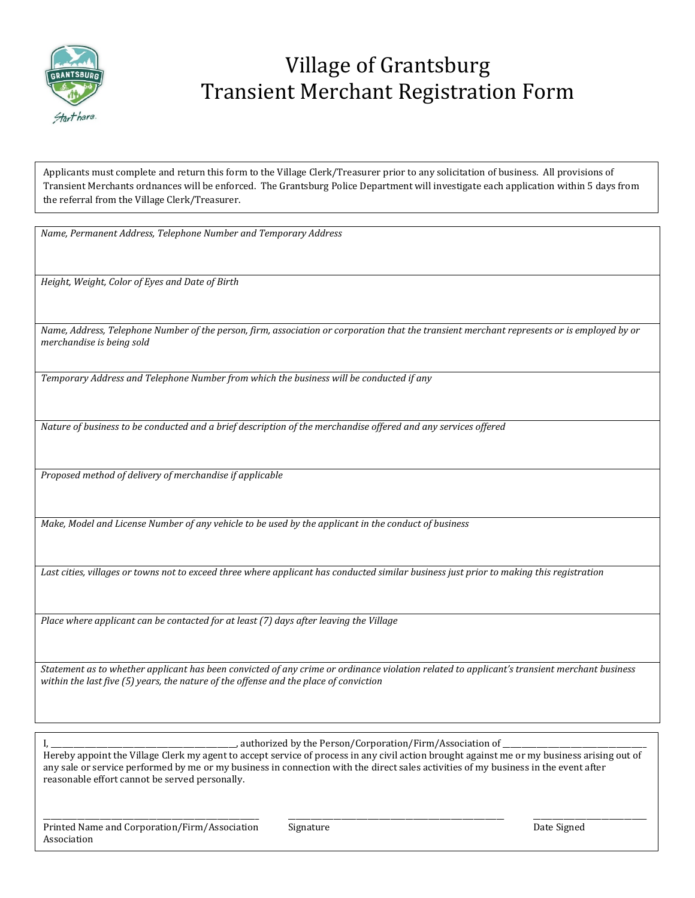

## Village of Grantsburg Transient Merchant Registration Form

Applicants must complete and return this form to the Village Clerk/Treasurer prior to any solicitation of business. All provisions of Transient Merchants ordnances will be enforced. The Grantsburg Police Department will investigate each application within 5 days from the referral from the Village Clerk/Treasurer.

*Name, Permanent Address, Telephone Number and Temporary Address*

*Height, Weight, Color of Eyes and Date of Birth*

*Name, Address, Telephone Number of the person, firm, association or corporation that the transient merchant represents or is employed by or merchandise is being sold*

*Temporary Address and Telephone Number from which the business will be conducted if any*

*Nature of business to be conducted and a brief description of the merchandise offered and any services offered*

*Proposed method of delivery of merchandise if applicable*

*Make, Model and License Number of any vehicle to be used by the applicant in the conduct of business*

*Last cities, villages or towns not to exceed three where applicant has conducted similar business just prior to making this registration*

*Place where applicant can be contacted for at least (7) days after leaving the Village*

*Statement as to whether applicant has been convicted of any crime or ordinance violation related to applicant's transient merchant business within the last five (5) years, the nature of the offense and the place of conviction*

I, \_\_\_\_\_\_\_\_\_\_\_\_\_\_\_\_\_\_\_\_\_\_\_\_\_\_\_\_\_\_\_\_\_\_\_\_\_\_\_\_\_\_\_\_\_\_\_\_\_, authorized by the Person/Corporation/Firm/Association of \_\_\_\_\_\_\_\_\_\_\_\_\_\_\_\_\_\_\_\_\_\_\_\_\_\_\_\_\_\_\_\_\_\_\_\_\_\_

Hereby appoint the Village Clerk my agent to accept service of process in any civil action brought against me or my business arising out of any sale or service performed by me or my business in connection with the direct sales activities of my business in the event after reasonable effort cannot be served personally.